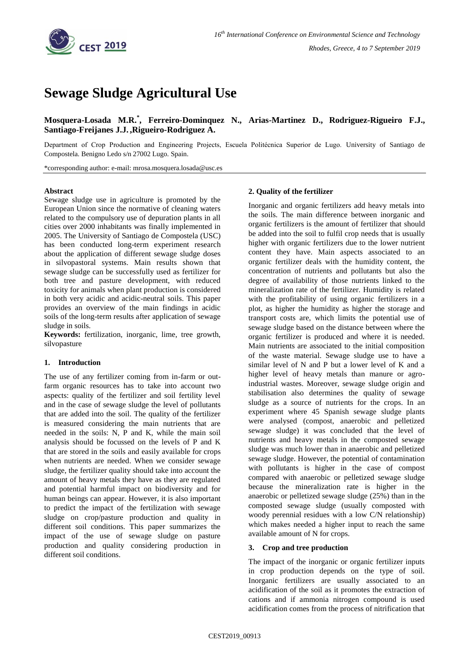

# **Sewage Sludge Agricultural Use**

# **Mosquera-Losada M.R.\* , Ferreiro-Dominquez N., Arias-Martinez D., Rodriguez-Rigueiro F.J., Santiago-Freijanes J.J. ,Rigueiro-Rodriguez A.**

Department of Crop Production and Engineering Projects, Escuela Politécnica Superior de Lugo. University of Santiago de Compostela. Benigno Ledo s/n 27002 Lugo. Spain.

\*corresponding author: e-mail: mrosa.mosquera.losada@usc.es

#### **Abstract**

Sewage sludge use in agriculture is promoted by the European Union since the normative of cleaning waters related to the compulsory use of depuration plants in all cities over 2000 inhabitants was finally implemented in 2005. The University of Santiago de Compostela (USC) has been conducted long-term experiment research about the application of different sewage sludge doses in silvopastoral systems. Main results shown that sewage sludge can be successfully used as fertilizer for both tree and pasture development, with reduced toxicity for animals when plant production is considered in both very acidic and acidic-neutral soils. This paper provides an overview of the main findings in acidic soils of the long-term results after application of sewage sludge in soils.

**Keywords:** fertilization, inorganic, lime, tree growth, silvopasture

## **1. Introduction**

The use of any fertilizer coming from in-farm or outfarm organic resources has to take into account two aspects: quality of the fertilizer and soil fertility level and in the case of sewage sludge the level of pollutants that are added into the soil. The quality of the fertilizer is measured considering the main nutrients that are needed in the soils: N, P and K, while the main soil analysis should be focussed on the levels of P and K that are stored in the soils and easily available for crops when nutrients are needed. When we consider sewage sludge, the fertilizer quality should take into account the amount of heavy metals they have as they are regulated and potential harmful impact on biodiversity and for human beings can appear. However, it is also important to predict the impact of the fertilization with sewage sludge on crop/pasture production and quality in different soil conditions. This paper summarizes the impact of the use of sewage sludge on pasture production and quality considering production in different soil conditions.

#### **2. Quality of the fertilizer**

Inorganic and organic fertilizers add heavy metals into the soils. The main difference between inorganic and organic fertilizers is the amount of fertilizer that should be added into the soil to fulfil crop needs that is usually higher with organic fertilizers due to the lower nutrient content they have. Main aspects associated to an organic fertilizer deals with the humidity content, the concentration of nutrients and pollutants but also the degree of availability of those nutrients linked to the mineralization rate of the fertilizer. Humidity is related with the profitability of using organic fertilizers in a plot, as higher the humidity as higher the storage and transport costs are, which limits the potential use of sewage sludge based on the distance between where the organic fertilizer is produced and where it is needed. Main nutrients are associated to the initial composition of the waste material. Sewage sludge use to have a similar level of N and P but a lower level of K and a higher level of heavy metals than manure or agroindustrial wastes. Moreover, sewage sludge origin and stabilisation also determines the quality of sewage sludge as a source of nutrients for the crops. In an experiment where 45 Spanish sewage sludge plants were analysed (compost, anaerobic and pelletized sewage sludge) it was concluded that the level of nutrients and heavy metals in the composted sewage sludge was much lower than in anaerobic and pelletized sewage sludge. However, the potential of contamination with pollutants is higher in the case of compost compared with anaerobic or pelletized sewage sludge because the mineralization rate is higher in the anaerobic or pelletized sewage sludge (25%) than in the composted sewage sludge (usually composted with woody perennial residues with a low C/N relationship) which makes needed a higher input to reach the same available amount of N for crops.

#### **3. Crop and tree production**

The impact of the inorganic or organic fertilizer inputs in crop production depends on the type of soil. Inorganic fertilizers are usually associated to an acidification of the soil as it promotes the extraction of cations and if ammonia nitrogen compound is used acidification comes from the process of nitrification that